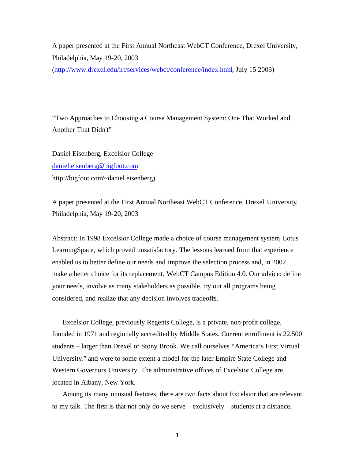A paper presented at the First Annual Northeast WebCT Conference, Drexel University, Philadelphia, May 19-20, 2003

(http://www.drexel.edu/irt/services/webct/conference/index.html, July 15 2003)

"Two Approaches to Choosing a Course Management System: One That Worked and Another That Didn't"

Daniel Eisenberg, Excelsior College daniel.eisenberg@bigfoot.com http://bigfoot.com/~daniel.eisenberg)

A paper presented at the First Annual Northeast WebCT Conference, Drexel University, Philadelphia, May 19-20, 2003

Abstract: In 1998 Excelsior College made a choice of course management system, Lotus LearningSpace, which proved unsatisfactory. The lessons learned from that experience enabled us to better define our needs and improve the selection process and, in 2002, make a better choice for its replacement, WebCT Campus Edition 4.0. Our advice: define your needs, involve as many stakeholders as possible, try out all programs being considered, and realize that any decision involves tradeoffs.

Excelsior College, previously Regents College, is a private, non-profit college, founded in 1971 and regionally accredited by Middle States. Current enrollment is 22,500 students – larger than Drexel or Stony Brook. We call ourselves "America's First Virtual University," and were to some extent a model for the later Empire State College and Western Governors University. The administrative offices of Excelsior College are located in Albany, New York.

Among its many unusual features, there are two facts about Excelsior that are relevant to my talk. The first is that not only do we serve – exclusively – students at a distance,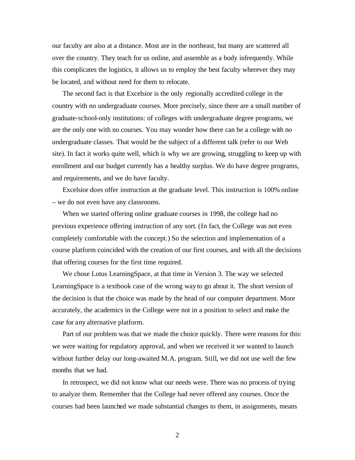our faculty are also at a distance. Most are in the northeast, but many are scattered all over the country. They teach for us online, and assemble as a body infrequently. While this complicates the logistics, it allows us to employ the best faculty wherever they may be located, and without need for them to relocate.

The second fact is that Excelsior is the only regionally accredited college in the country with no undergraduate courses. More precisely, since there are a small number of graduate-school-only institutions: of colleges with undergraduate degree programs, we are the only one with no courses. You may wonder how there can be a college with no undergraduate classes. That would be the subject of a different talk (refer to our Web site). In fact it works quite well, which is why we are growing, struggling to keep up with enrollment and our budget currently has a healthy surplus. We do have degree programs, and requirements, and we do have faculty.

Excelsior does offer instruction at the graduate level. This instruction is 100% online – we do not even have any classrooms.

When we started offering online graduate courses in 1998, the college had no previous experience offering instruction of any sort. (In fact, the College was not even completely comfortable with the concept.) So the selection and implementation of a course platform coincided with the creation of our first courses, and with all the decisions that offering courses for the first time required.

We chose Lotus LearningSpace, at that time in Version 3. The way we selected LearningSpace is a textbook case of the wrong way to go about it. The short version of the decision is that the choice was made by the head of our computer department. More accurately, the academics in the College were not in a position to select and make the case for any alternative platform.

Part of our problem was that we made the choice quickly. There were reasons for this: we were waiting for regulatory approval, and when we received it we wanted to launch without further delay our long-awaited M.A. program. Still, we did not use well the few months that we had.

In retrospect, we did not know what our needs were. There was no process of trying to analyze them. Remember that the College had never offered any courses. Once the courses had been launched we made substantial changes to them, in assignments, means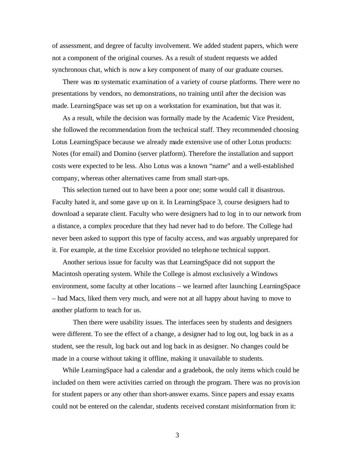of assessment, and degree of faculty involvement. We added student papers, which were not a component of the original courses. As a result of student requests we added synchronous chat, which is now a key component of many of our graduate courses.

There was no systematic examination of a variety of course platforms. There were no presentations by vendors, no demonstrations, no training until after the decision was made. LearningSpace was set up on a workstation for examination, but that was it.

As a result, while the decision was formally made by the Academic Vice President, she followed the recommendation from the technical staff. They recommended choosing Lotus LearningSpace because we already made extensive use of other Lotus products: Notes (for email) and Domino (server platform). Therefore the installation and support costs were expected to be less. Also Lotus was a known "name" and a well-established company, whereas other alternatives came from small start-ups.

This selection turned out to have been a poor one; some would call it disastrous. Faculty hated it, and some gave up on it. In LearningSpace 3, course designers had to download a separate client. Faculty who were designers had to log in to our network from a distance, a complex procedure that they had never had to do before. The College had never been asked to support this type of faculty access, and was arguably unprepared for it. For example, at the time Excelsior provided no telephone technical support.

Another serious issue for faculty was that LearningSpace did not support the Macintosh operating system. While the College is almost exclusively a Windows environment, some faculty at other locations – we learned after launching LearningSpace – had Macs, liked them very much, and were not at all happy about having to move to another platform to teach for us.

Then there were usability issues. The interfaces seen by students and designers were different. To see the effect of a change, a designer had to log out, log back in as a student, see the result, log back out and log back in as designer. No changes could be made in a course without taking it offline, making it unavailable to students.

While LearningSpace had a calendar and a gradebook, the only items which could be included on them were activities carried on through the program. There was no provision for student papers or any other than short-answer exams. Since papers and essay exams could not be entered on the calendar, students received constant misinformation from it: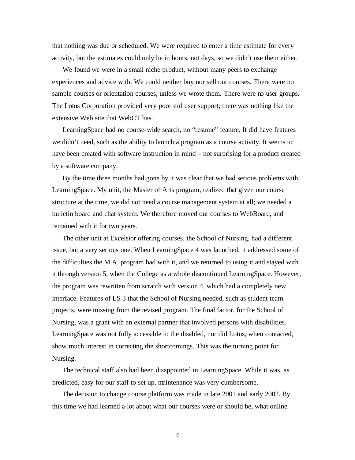that nothing was due or scheduled. We were required to enter a time estimate for every activity, but the estimates could only be in hours, not days, so we didn't use them either.

We found we were in a small niche product, without many peers to exchange experiences and advice with. We could neither buy nor sell our courses. There were no sample courses or orientation courses, unless we wrote them. There were no user groups. The Lotus Corporation provided very poor end user support; there was nothing like the extensive Web site that WebCT has.

LearningSpace had no course-wide search, no "resume" feature. It did have features we didn't need, such as the ability to launch a program as a course activity. It seems to have been created with software instruction in mind – not surprising for a product created by a software company.

By the time three months had gone by it was clear that we had serious problems with LearningSpace. My unit, the Master of Arts program, realized that given our course structure at the time, we did not need a course management system at all; we needed a bulletin board and chat system. We therefore moved our courses to WebBoard, and remained with it for two years.

The other unit at Excelsior offering courses, the School of Nursing, had a different issue, but a very serious one. When LearningSpace 4 was launched, it addressed some of the difficulties the M.A. program had with it, and we returned to using it and stayed with it through version 5, when the College as a whole discontinued LearningSpace. However, the program was rewritten from scratch with version 4, which had a completely new interface. Features of LS 3 that the School of Nursing needed, such as student team projects, were missing from the revised program. The final factor, for the School of Nursing, was a grant with an external partner that involved persons with disabilities. LearningSpace was not fully accessible to the disabled, nor did Lotus, when contacted, show much interest in correcting the shortcomings. This was the turning point for Nursing.

The technical staff also had been disappointed in LearningSpace. While it was, as predicted, easy for our staff to set up, maintenance was very cumbersome.

The decision to change course platform was made in late 2001 and early 2002. By this time we had learned a lot about what our courses were or should be, what online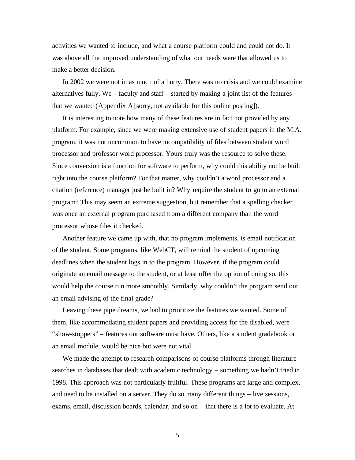activities we wanted to include, and what a course platform could and could not do. It was above all the improved understanding of what our needs were that allowed us to make a better decision.

In 2002 we were not in as much of a hurry. There was no crisis and we could examine alternatives fully. We – faculty and staff – started by making a joint list of the features that we wanted (Appendix A [sorry, not available for this online posting]).

It is interesting to note how many of these features are in fact not provided by any platform. For example, since we were making extensive use of student papers in the M.A. program, it was not uncommon to have incompatibility of files between student word processor and professor word processor. Yours truly was the resource to solve these. Since conversion is a function for software to perform, why could this ability not be built right into the course platform? For that matter, why couldn't a word processor and a citation (reference) manager just be built in? Why require the student to go to an external program? This may seem an extreme suggestion, but remember that a spelling checker was once an external program purchased from a different company than the word processor whose files it checked.

Another feature we came up with, that no program implements, is email notification of the student. Some programs, like WebCT, will remind the student of upcoming deadlines when the student logs in to the program. However, if the program could originate an email message to the student, or at least offer the option of doing so, this would help the course run more smoothly. Similarly, why couldn't the program send out an email advising of the final grade?

Leaving these pipe dreams, we had to prioritize the features we wanted. Some of them, like accommodating student papers and providing access for the disabled, were "show-stoppers" – features our software must have. Others, like a student gradebook or an email module, would be nice but were not vital.

We made the attempt to research comparisons of course platforms through literature searches in databases that dealt with academic technology – something we hadn't tried in 1998. This approach was not particularly fruitful. These programs are large and complex, and need to be installed on a server. They do so many different things – live sessions, exams, email, discussion boards, calendar, and so on – that there is a lot to evaluate. At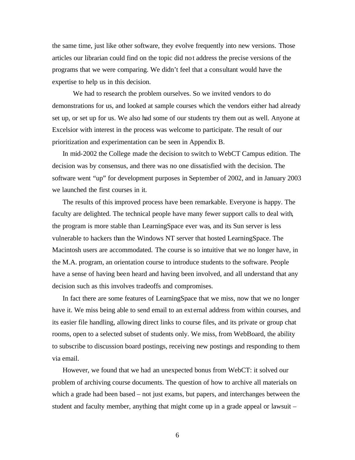the same time, just like other software, they evolve frequently into new versions. Those articles our librarian could find on the topic did not address the precise versions of the programs that we were comparing. We didn't feel that a consultant would have the expertise to help us in this decision.

We had to research the problem ourselves. So we invited vendors to do demonstrations for us, and looked at sample courses which the vendors either had already set up, or set up for us. We also had some of our students try them out as well. Anyone at Excelsior with interest in the process was welcome to participate. The result of our prioritization and experimentation can be seen in Appendix B.

In mid-2002 the College made the decision to switch to WebCT Campus edition. The decision was by consensus, and there was no one dissatisfied with the decision. The software went "up" for development purposes in September of 2002, and in January 2003 we launched the first courses in it.

The results of this improved process have been remarkable. Everyone is happy. The faculty are delighted. The technical people have many fewer support calls to deal with, the program is more stable than LearningSpace ever was, and its Sun server is less vulnerable to hackers than the Windows NT server that hosted LearningSpace. The Macintosh users are accommodated. The course is so intuitive that we no longer have, in the M.A. program, an orientation course to introduce students to the software. People have a sense of having been heard and having been involved, and all understand that any decision such as this involves tradeoffs and compromises.

In fact there are some features of LearningSpace that we miss, now that we no longer have it. We miss being able to send email to an ext ernal address from within courses, and its easier file handling, allowing direct links to course files, and its private or group chat rooms, open to a selected subset of students only. We miss, from WebBoard, the ability to subscribe to discussion board postings, receiving new postings and responding to them via email.

However, we found that we had an unexpected bonus from WebCT: it solved our problem of archiving course documents. The question of how to archive all materials on which a grade had been based – not just exams, but papers, and interchanges between the student and faculty member, anything that might come up in a grade appeal or lawsuit –